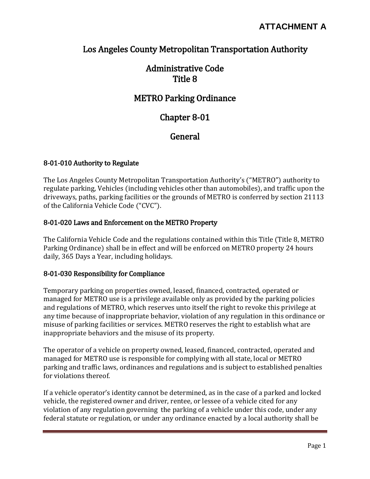## Los Angeles County Metropolitan Transportation Authority

## Administrative Code Title 8

## METRO Parking Ordinance

## Chapter 8-01

## **General**

#### 8-01-010 Authority to Regulate

The Los Angeles County Metropolitan Transportation Authority's ("METRO") authority to regulate parking, Vehicles (including vehicles other than automobiles), and traffic upon the driveways, paths, parking facilities or the grounds of METRO is conferred by section 21113 of the California Vehicle Code ("CVC").

#### 8-01-020 Laws and Enforcement on the METRO Property

The California Vehicle Code and the regulations contained within this Title (Title 8, METRO Parking Ordinance) shall be in effect and will be enforced on METRO property 24 hours daily, 365 Days a Year, including holidays.

#### 8-01-030 Responsibility for Compliance

Temporary parking on properties owned, leased, financed, contracted, operated or managed for METRO use is a privilege available only as provided by the parking policies and regulations of METRO, which reserves unto itself the right to revoke this privilege at any time because of inappropriate behavior, violation of any regulation in this ordinance or misuse of parking facilities or services. METRO reserves the right to establish what are inappropriate behaviors and the misuse of its property.

The operator of a vehicle on property owned, leased, financed, contracted, operated and managed for METRO use is responsible for complying with all state, local or METRO parking and traffic laws, ordinances and regulations and is subject to established penalties for violations thereof.

If a vehicle operator's identity cannot be determined, as in the case of a parked and locked vehicle, the registered owner and driver, rentee, or lessee of a vehicle cited for any violation of any regulation governing the parking of a vehicle under this code, under any federal statute or regulation, or under any ordinance enacted by a local authority shall be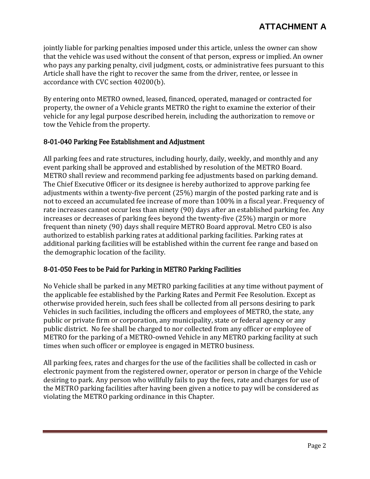jointly liable for parking penalties imposed under this article, unless the owner can show that the vehicle was used without the consent of that person, express or implied. An owner who pays any parking penalty, civil judgment, costs, or administrative fees pursuant to this Article shall have the right to recover the same from the driver, rentee, or lessee in accordance with CVC section 40200(b).

By entering onto METRO owned, leased, financed, operated, managed or contracted for property, the owner of a Vehicle grants METRO the right to examine the exterior of their vehicle for any legal purpose described herein, including the authorization to remove or tow the Vehicle from the property.

#### 8-01-040 Parking Fee Establishment and Adjustment

All parking fees and rate structures, including hourly, daily, weekly, and monthly and any event parking shall be approved and established by resolution of the METRO Board. METRO shall review and recommend parking fee adjustments based on parking demand. The Chief Executive Officer or its designee is hereby authorized to approve parking fee adjustments within a twenty-five percent (25%) margin of the posted parking rate and is not to exceed an accumulated fee increase of more than 100% in a fiscal year. Frequency of rate increases cannot occur less than ninety (90) days after an established parking fee. Any increases or decreases of parking fees beyond the twenty-five (25%) margin or more frequent than ninety (90) days shall require METRO Board approval. Metro CEO is also authorized to establish parking rates at additional parking facilities. Parking rates at additional parking facilities will be established within the current fee range and based on the demographic location of the facility.

#### 8-01-050 Fees to be Paid for Parking in METRO Parking Facilities

No Vehicle shall be parked in any METRO parking facilities at any time without payment of the applicable fee established by the Parking Rates and Permit Fee Resolution. Except as otherwise provided herein, such fees shall be collected from all persons desiring to park Vehicles in such facilities, including the officers and employees of METRO, the state, any public or private firm or corporation, any municipality, state or federal agency or any public district. No fee shall be charged to nor collected from any officer or employee of METRO for the parking of a METRO-owned Vehicle in any METRO parking facility at such times when such officer or employee is engaged in METRO business.

All parking fees, rates and charges for the use of the facilities shall be collected in cash or electronic payment from the registered owner, operator or person in charge of the Vehicle desiring to park. Any person who willfully fails to pay the fees, rate and charges for use of the METRO parking facilities after having been given a notice to pay will be considered as violating the METRO parking ordinance in this Chapter.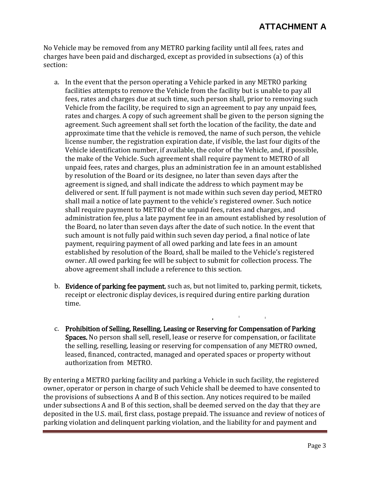## **ATTACHMENT A**

No Vehicle may be removed from any METRO parking facility until all fees, rates and charges have been paid and discharged, except as provided in subsections (a) of this section:

- a. In the event that the person operating a Vehicle parked in any METRO parking facilities attempts to remove the Vehicle from the facility but is unable to pay all fees, rates and charges due at such time, such person shall, prior to removing such Vehicle from the facility, be required to sign an agreement to pay any unpaid fees, rates and charges. A copy of such agreement shall be given to the person signing the agreement. Such agreement shall set forth the location of the facility, the date and approximate time that the vehicle is removed, the name of such person, the vehicle license number, the registration expiration date, if visible, the last four digits of the Vehicle identification number, if available, the color of the Vehicle, and, if possible, the make of the Vehicle. Such agreement shall require payment to METRO of all unpaid fees, rates and charges, plus an administration fee in an amount established by resolution of the Board or its designee, no later than seven days after the agreement is signed, and shall indicate the address to which payment may be delivered or sent. If full payment is not made within such seven day period, METRO shall mail a notice of late payment to the vehicle's registered owner. Such notice shall require payment to METRO of the unpaid fees, rates and charges, and administration fee, plus a late payment fee in an amount established by resolution of the Board, no later than seven days after the date of such notice. In the event that such amount is not fully paid within such seven day period, a final notice of late payment, requiring payment of all owed parking and late fees in an amount established by resolution of the Board, shall be mailed to the Vehicle's registered owner. All owed parking fee will be subject to submit for collection process. The above agreement shall include a reference to this section.
- b. Evidence of parking fee payment, such as, but not limited to, parking permit, tickets, receipt or electronic display devices, is required during entire parking duration time.

 $\mathbf{1}$  and  $\mathbf{1}$ 

c. Prohibition of Selling, Reselling, Leasing or Reserving for Compensation of Parking Spaces. No person shall sell, resell, lease or reserve for compensation, or facilitate the selling, reselling, leasing or reserving for compensation of any METRO owned, leased, financed, contracted, managed and operated spaces or property without authorization from METRO.

By entering a METRO parking facility and parking a Vehicle in such facility, the registered owner, operator or person in charge of such Vehicle shall be deemed to have consented to the provisions of subsections A and B of this section. Any notices required to be mailed under subsections A and B of this section, shall be deemed served on the day that they are deposited in the U.S. mail, first class, postage prepaid. The issuance and review of notices of parking violation and delinquent parking violation, and the liability for and payment and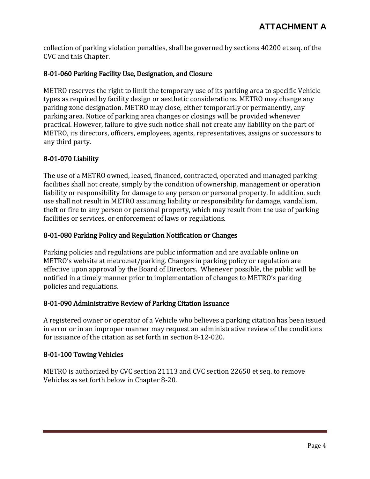collection of parking violation penalties, shall be governed by sections 40200 et seq. of the CVC and this Chapter.

## 8-01-060 Parking Facility Use, Designation, and Closure

METRO reserves the right to limit the temporary use of its parking area to specific Vehicle types as required by facility design or aesthetic considerations. METRO may change any parking zone designation. METRO may close, either temporarily or permanently, any parking area. Notice of parking area changes or closings will be provided whenever practical. However, failure to give such notice shall not create any liability on the part of METRO, its directors, officers, employees, agents, representatives, assigns or successors to any third party.

#### 8-01-070 Liability

The use of a METRO owned, leased, financed, contracted, operated and managed parking facilities shall not create, simply by the condition of ownership, management or operation liability or responsibility for damage to any person or personal property. In addition, such use shall not result in METRO assuming liability or responsibility for damage, vandalism, theft or fire to any person or personal property, which may result from the use of parking facilities or services, or enforcement of laws or regulations.

#### 8-01-080 Parking Policy and Regulation Notification or Changes

Parking policies and regulations are public information and are available online on METRO's website at metro.net/parking. Changes in parking policy or regulation are effective upon approval by the Board of Directors. Whenever possible, the public will be notified in a timely manner prior to implementation of changes to METRO's parking policies and regulations.

#### 8-01-090 Administrative Review of Parking Citation Issuance

A registered owner or operator of a Vehicle who believes a parking citation has been issued in error or in an improper manner may request an administrative review of the conditions for issuance of the citation as set forth in section 8-12-020.

#### 8-01-100 Towing Vehicles

METRO is authorized by CVC section 21113 and CVC section 22650 et seq. to remove Vehicles as set forth below in Chapter 8-20.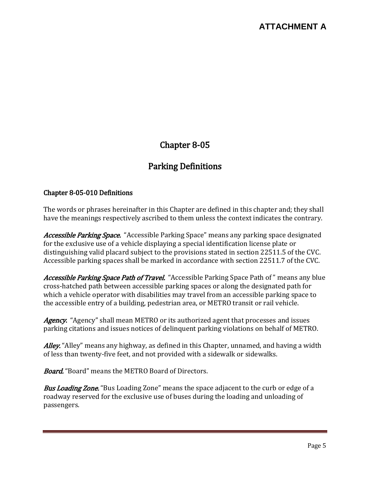# Chapter 8-05

# Parking Definitions

#### Chapter 8-05-010 Definitions

The words or phrases hereinafter in this Chapter are defined in this chapter and; they shall have the meanings respectively ascribed to them unless the context indicates the contrary.

Accessible Parking Space. "Accessible Parking Space" means any parking space designated for the exclusive use of a vehicle displaying a special identification license plate or distinguishing valid placard subject to the provisions stated in section 22511.5 of the CVC. Accessible parking spaces shall be marked in accordance with section 22511.7 of the CVC.

Accessible Parking Space Path of Travel. "Accessible Parking Space Path of " means any blue cross-hatched path between accessible parking spaces or along the designated path for which a vehicle operator with disabilities may travel from an accessible parking space to the accessible entry of a building, pedestrian area, or METRO transit or rail vehicle.

Agency. "Agency" shall mean METRO or its authorized agent that processes and issues parking citations and issues notices of delinquent parking violations on behalf of METRO.

Alley. "Alley" means any highway, as defined in this Chapter, unnamed, and having a width of less than twenty-five feet, and not provided with a sidewalk or sidewalks.

**Board.** "Board" means the METRO Board of Directors.

**Bus Loading Zone.** "Bus Loading Zone" means the space adjacent to the curb or edge of a roadway reserved for the exclusive use of buses during the loading and unloading of passengers.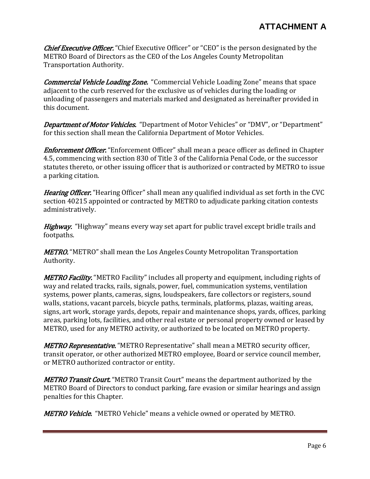**Chief Executive Officer.** "Chief Executive Officer" or "CEO" is the person designated by the METRO Board of Directors as the CEO of the Los Angeles County Metropolitan Transportation Authority.

**Commercial Vehicle Loading Zone.** "Commercial Vehicle Loading Zone" means that space adjacent to the curb reserved for the exclusive us of vehicles during the loading or unloading of passengers and materials marked and designated as hereinafter provided in this document.

**Department of Motor Vehicles.** "Department of Motor Vehicles" or "DMV", or "Department" for this section shall mean the California Department of Motor Vehicles.

**Enforcement Officer.** "Enforcement Officer" shall mean a peace officer as defined in Chapter 4.5, commencing with section 830 of Title 3 of the California Penal Code, or the successor statutes thereto, or other issuing officer that is authorized or contracted by METRO to issue a parking citation.

Hearing Officer. "Hearing Officer" shall mean any qualified individual as set forth in the CVC section 40215 appointed or contracted by METRO to adjudicate parking citation contests administratively.

Highway. "Highway" means every way set apart for public travel except bridle trails and footpaths.

**METRO.** "METRO" shall mean the Los Angeles County Metropolitan Transportation Authority.

METRO Facility. "METRO Facility" includes all property and equipment, including rights of way and related tracks, rails, signals, power, fuel, communication systems, ventilation systems, power plants, cameras, signs, loudspeakers, fare collectors or registers, sound walls, stations, vacant parcels, bicycle paths, terminals, platforms, plazas, waiting areas, signs, art work, storage yards, depots, repair and maintenance shops, yards, offices, parking areas, parking lots, facilities, and other real estate or personal property owned or leased by METRO, used for any METRO activity, or authorized to be located on METRO property.

**METRO Representative.** "METRO Representative" shall mean a METRO security officer, transit operator, or other authorized METRO employee, Board or service council member, or METRO authorized contractor or entity.

**METRO Transit Court.** "METRO Transit Court" means the department authorized by the METRO Board of Directors to conduct parking, fare evasion or similar hearings and assign penalties for this Chapter.

**METRO Vehicle.** "METRO Vehicle" means a vehicle owned or operated by METRO.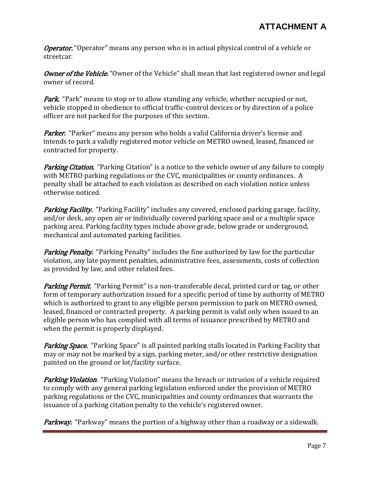**Operator.** "Operator" means any person who is in actual physical control of a vehicle or streetcar.

Owner of the Vehicle. "Owner of the Vehicle" shall mean that last registered owner and legal owner of record.

**Park.** "Park" means to stop or to allow standing any vehicle, whether occupied or not, vehicle stopped in obedience to official traffic-control devices or by direction of a police officer are not parked for the purposes of this section.

Parker. "Parker" means any person who holds a valid California driver's license and intends to park a validly registered motor vehicle on METRO owned, leased, financed or contracted for property.

**Parking Citation.** "Parking Citation" is a notice to the vehicle owner of any failure to comply with METRO parking regulations or the CVC, municipalities or county ordinances. A penalty shall be attached to each violation as described on each violation notice unless otherwise noticed.

**Parking Facility.** "Parking Facility" includes any covered, enclosed parking garage, facility, and/or deck, any open air or individually covered parking space and or a multiple space parking area. Parking facility types include above grade, below grade or underground, mechanical and automated parking facilities.

**Parking Penalty.** "Parking Penalty" includes the fine authorized by law for the particular violation, any late payment penalties, administrative fees, assessments, costs of collection as provided by law, and other related fees.

Parking Permit. "Parking Permit" is a non-transferable decal, printed card or tag, or other form of temporary authorization issued for a specific period of time by authority of METRO which is authorized to grant to any eligible person permission to park on METRO owned, leased, financed or contracted property. A parking permit is valid only when issued to an eligible person who has complied with all terms of issuance prescribed by METRO and when the permit is properly displayed.

**Parking Space.** "Parking Space" is all painted parking stalls located in Parking Facility that may or may not be marked by a sign, parking meter, and/or other restrictive designation painted on the ground or lot/facility surface.

**Parking Violation.** "Parking Violation" means the breach or intrusion of a vehicle required to comply with any general parking legislation enforced under the provision of METRO parking regulations or the CVC, municipalities and county ordinances that warrants the issuance of a parking citation penalty to the vehicle's registered owner.

**Parkway.** "Parkway" means the portion of a highway other than a roadway or a sidewalk.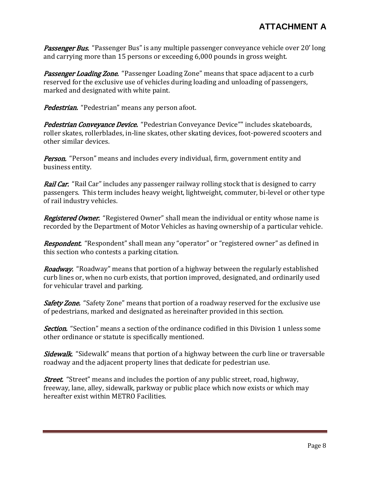Passenger Bus. "Passenger Bus" is any multiple passenger conveyance vehicle over 20' long and carrying more than 15 persons or exceeding 6,000 pounds in gross weight.

Passenger Loading Zone. "Passenger Loading Zone" means that space adjacent to a curb reserved for the exclusive use of vehicles during loading and unloading of passengers, marked and designated with white paint.

Pedestrian. "Pedestrian" means any person afoot.

Pedestrian Conveyance Device. "Pedestrian Conveyance Device"" includes skateboards, roller skates, rollerblades, in-line skates, other skating devices, foot-powered scooters and other similar devices.

**Person.** "Person" means and includes every individual, firm, government entity and business entity.

**Rail Car.** "Rail Car" includes any passenger railway rolling stock that is designed to carry passengers. This term includes heavy weight, lightweight, commuter, bi-level or other type of rail industry vehicles.

Registered Owner. "Registered Owner" shall mean the individual or entity whose name is recorded by the Department of Motor Vehicles as having ownership of a particular vehicle.

**Respondent.** "Respondent" shall mean any "operator" or "registered owner" as defined in this section who contests a parking citation.

**Roadway.** "Roadway" means that portion of a highway between the regularly established curb lines or, when no curb exists, that portion improved, designated, and ordinarily used for vehicular travel and parking.

**Safety Zone.** "Safety Zone" means that portion of a roadway reserved for the exclusive use of pedestrians, marked and designated as hereinafter provided in this section.

**Section.** "Section" means a section of the ordinance codified in this Division 1 unless some other ordinance or statute is specifically mentioned.

**Sidewalk.** "Sidewalk" means that portion of a highway between the curb line or traversable roadway and the adjacent property lines that dedicate for pedestrian use.

*Street.* "Street" means and includes the portion of any public street, road, highway, freeway, lane, alley, sidewalk, parkway or public place which now exists or which may hereafter exist within METRO Facilities.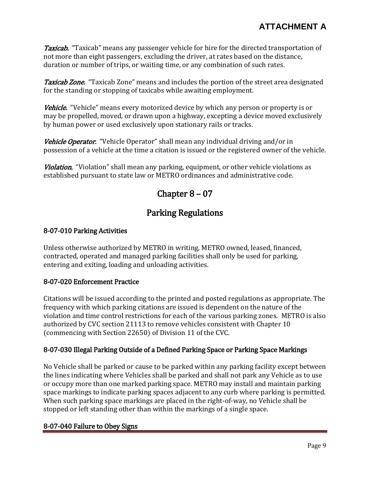**Taxicab.** "Taxicab" means any passenger vehicle for hire for the directed transportation of not more than eight passengers, excluding the driver, at rates based on the distance, duration or number of trips, or waiting time, or any combination of such rates.

Taxicab Zone. "Taxicab Zone" means and includes the portion of the street area designated for the standing or stopping of taxicabs while awaiting employment.

Vehicle. "Vehicle" means every motorized device by which any person or property is or may be propelled, moved, or drawn upon a highway, excepting a device moved exclusively by human power or used exclusively upon stationary rails or tracks.

Vehicle Operator. "Vehicle Operator" shall mean any individual driving and/or in possession of a vehicle at the time a citation is issued or the registered owner of the vehicle.

Violation. "Violation" shall mean any parking, equipment, or other vehicle violations as established pursuant to state law or METRO ordinances and administrative code.

# Chapter 8 – 07

## Parking Regulations

## 8-07-010 Parking Activities

Unless otherwise authorized by METRO in writing, METRO owned, leased, financed, contracted, operated and managed parking facilities shall only be used for parking, entering and exiting, loading and unloading activities.

## 8-07-020 Enforcement Practice

Citations will be issued according to the printed and posted regulations as appropriate. The frequency with which parking citations are issued is dependent on the nature of the violation and time control restrictions for each of the various parking zones. METRO is also authorized by CVC section 21113 to remove vehicles consistent with Chapter 10 (commencing with Section 22650) of Division 11 of the CVC.

## 8-07-030 Illegal Parking Outside of a Defined Parking Space or Parking Space Markings

No Vehicle shall be parked or cause to be parked within any parking facility except between the lines indicating where Vehicles shall be parked and shall not park any Vehicle as to use or occupy more than one marked parking space. METRO may install and maintain parking space markings to indicate parking spaces adjacent to any curb where parking is permitted. When such parking space markings are placed in the right-of-way, no Vehicle shall be stopped or left standing other than within the markings of a single space.

## 8-07-040 Failure to Obey Signs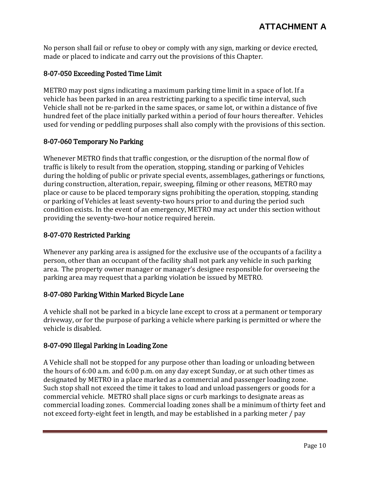No person shall fail or refuse to obey or comply with any sign, marking or device erected, made or placed to indicate and carry out the provisions of this Chapter.

## 8-07-050 Exceeding Posted Time Limit

METRO may post signs indicating a maximum parking time limit in a space of lot. If a vehicle has been parked in an area restricting parking to a specific time interval, such Vehicle shall not be re-parked in the same spaces, or same lot, or within a distance of five hundred feet of the place initially parked within a period of four hours thereafter. Vehicles used for vending or peddling purposes shall also comply with the provisions of this section.

## 8-07-060 Temporary No Parking

Whenever METRO finds that traffic congestion, or the disruption of the normal flow of traffic is likely to result from the operation, stopping, standing or parking of Vehicles during the holding of public or private special events, assemblages, gatherings or functions, during construction, alteration, repair, sweeping, filming or other reasons, METRO may place or cause to be placed temporary signs prohibiting the operation, stopping, standing or parking of Vehicles at least seventy-two hours prior to and during the period such condition exists. In the event of an emergency, METRO may act under this section without providing the seventy-two-hour notice required herein.

## 8-07-070 Restricted Parking

Whenever any parking area is assigned for the exclusive use of the occupants of a facility a person, other than an occupant of the facility shall not park any vehicle in such parking area. The property owner manager or manager's designee responsible for overseeing the parking area may request that a parking violation be issued by METRO.

## 8-07-080 Parking Within Marked Bicycle Lane

A vehicle shall not be parked in a bicycle lane except to cross at a permanent or temporary driveway, or for the purpose of parking a vehicle where parking is permitted or where the vehicle is disabled.

## 8-07-090 Illegal Parking in Loading Zone

A Vehicle shall not be stopped for any purpose other than loading or unloading between the hours of 6:00 a.m. and 6:00 p.m. on any day except Sunday, or at such other times as designated by METRO in a place marked as a commercial and passenger loading zone. Such stop shall not exceed the time it takes to load and unload passengers or goods for a commercial vehicle. METRO shall place signs or curb markings to designate areas as commercial loading zones. Commercial loading zones shall be a minimum of thirty feet and not exceed forty-eight feet in length, and may be established in a parking meter / pay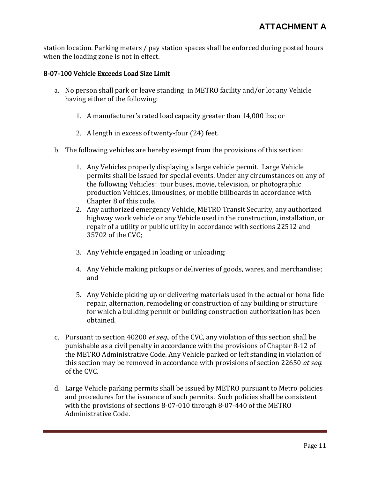station location. Parking meters / pay station spaces shall be enforced during posted hours when the loading zone is not in effect.

### 8-07-100 Vehicle Exceeds Load Size Limit

- a. No person shall park or leave standing in METRO facility and/or lot any Vehicle having either of the following:
	- 1. A manufacturer's rated load capacity greater than 14,000 lbs; or
	- 2. A length in excess of twenty-four (24) feet.
- b. The following vehicles are hereby exempt from the provisions of this section:
	- 1. Any Vehicles properly displaying a large vehicle permit. Large Vehicle permits shall be issued for special events. Under any circumstances on any of the following Vehicles: tour buses, movie, television, or photographic production Vehicles, limousines, or mobile billboards in accordance with Chapter 8 of this code.
	- 2. Any authorized emergency Vehicle, METRO Transit Security, any authorized highway work vehicle or any Vehicle used in the construction, installation, or repair of a utility or public utility in accordance with sections 22512 and 35702 of the CVC;
	- 3. Any Vehicle engaged in loading or unloading;
	- 4. Any Vehicle making pickups or deliveries of goods, wares, and merchandise; and
	- 5. Any Vehicle picking up or delivering materials used in the actual or bona fide repair, alternation, remodeling or construction of any building or structure for which a building permit or building construction authorization has been obtained.
- c. Pursuant to section 40200 et seq., of the CVC, any violation of this section shall be punishable as a civil penalty in accordance with the provisions of Chapter 8-12 of the METRO Administrative Code. Any Vehicle parked or left standing in violation of this section may be removed in accordance with provisions of section 22650 et seq. of the CVC.
- d. Large Vehicle parking permits shall be issued by METRO pursuant to Metro policies and procedures for the issuance of such permits. Such policies shall be consistent with the provisions of sections 8-07-010 through 8-07-440 of the METRO Administrative Code.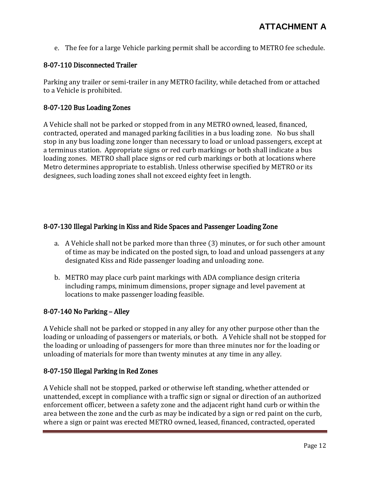e. The fee for a large Vehicle parking permit shall be according to METRO fee schedule.

## 8-07-110 Disconnected Trailer

Parking any trailer or semi-trailer in any METRO facility, while detached from or attached to a Vehicle is prohibited.

## 8-07-120 Bus Loading Zones

A Vehicle shall not be parked or stopped from in any METRO owned, leased, financed, contracted, operated and managed parking facilities in a bus loading zone. No bus shall stop in any bus loading zone longer than necessary to load or unload passengers, except at a terminus station. Appropriate signs or red curb markings or both shall indicate a bus loading zones. METRO shall place signs or red curb markings or both at locations where Metro determines appropriate to establish. Unless otherwise specified by METRO or its designees, such loading zones shall not exceed eighty feet in length.

## 8-07-130 Illegal Parking in Kiss and Ride Spaces and Passenger Loading Zone

- a. A Vehicle shall not be parked more than three (3) minutes, or for such other amount of time as may be indicated on the posted sign, to load and unload passengers at any designated Kiss and Ride passenger loading and unloading zone.
- b. METRO may place curb paint markings with ADA compliance design criteria including ramps, minimum dimensions, proper signage and level pavement at locations to make passenger loading feasible.

## 8-07-140 No Parking – Alley

A Vehicle shall not be parked or stopped in any alley for any other purpose other than the loading or unloading of passengers or materials, or both. A Vehicle shall not be stopped for the loading or unloading of passengers for more than three minutes nor for the loading or unloading of materials for more than twenty minutes at any time in any alley.

## 8-07-150 Illegal Parking in Red Zones

A Vehicle shall not be stopped, parked or otherwise left standing, whether attended or unattended, except in compliance with a traffic sign or signal or direction of an authorized enforcement officer, between a safety zone and the adjacent right hand curb or within the area between the zone and the curb as may be indicated by a sign or red paint on the curb, where a sign or paint was erected METRO owned, leased, financed, contracted, operated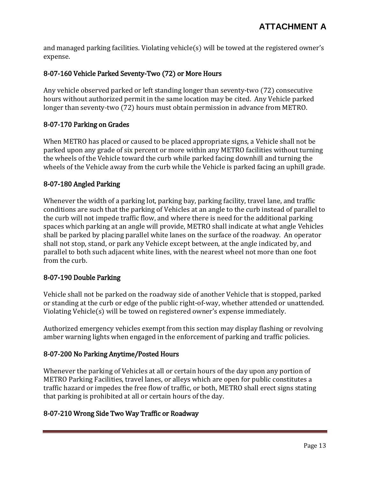and managed parking facilities. Violating vehicle(s) will be towed at the registered owner's expense.

## 8-07-160 Vehicle Parked Seventy-Two (72) or More Hours

Any vehicle observed parked or left standing longer than seventy-two (72) consecutive hours without authorized permit in the same location may be cited. Any Vehicle parked longer than seventy-two (72) hours must obtain permission in advance from METRO.

#### 8-07-170 Parking on Grades

When METRO has placed or caused to be placed appropriate signs, a Vehicle shall not be parked upon any grade of six percent or more within any METRO facilities without turning the wheels of the Vehicle toward the curb while parked facing downhill and turning the wheels of the Vehicle away from the curb while the Vehicle is parked facing an uphill grade.

#### 8-07-180 Angled Parking

Whenever the width of a parking lot, parking bay, parking facility, travel lane, and traffic conditions are such that the parking of Vehicles at an angle to the curb instead of parallel to the curb will not impede traffic flow, and where there is need for the additional parking spaces which parking at an angle will provide, METRO shall indicate at what angle Vehicles shall be parked by placing parallel white lanes on the surface of the roadway. An operator shall not stop, stand, or park any Vehicle except between, at the angle indicated by, and parallel to both such adjacent white lines, with the nearest wheel not more than one foot from the curb.

## 8-07-190 Double Parking

Vehicle shall not be parked on the roadway side of another Vehicle that is stopped, parked or standing at the curb or edge of the public right-of-way, whether attended or unattended. Violating Vehicle(s) will be towed on registered owner's expense immediately.

Authorized emergency vehicles exempt from this section may display flashing or revolving amber warning lights when engaged in the enforcement of parking and traffic policies.

#### 8-07-200 No Parking Anytime/Posted Hours

Whenever the parking of Vehicles at all or certain hours of the day upon any portion of METRO Parking Facilities, travel lanes, or alleys which are open for public constitutes a traffic hazard or impedes the free flow of traffic, or both, METRO shall erect signs stating that parking is prohibited at all or certain hours of the day.

## 8-07-210 Wrong Side Two Way Traffic or Roadway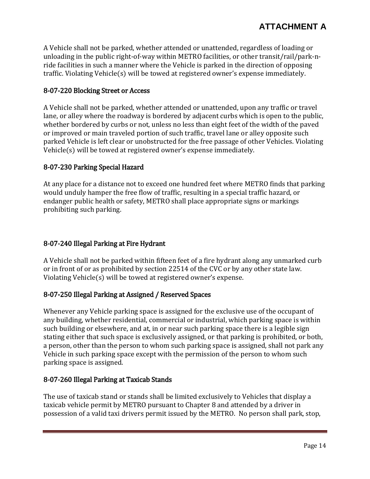A Vehicle shall not be parked, whether attended or unattended, regardless of loading or unloading in the public right-of-way within METRO facilities, or other transit/rail/park-nride facilities in such a manner where the Vehicle is parked in the direction of opposing traffic. Violating Vehicle(s) will be towed at registered owner's expense immediately.

### 8-07-220 Blocking Street or Access

A Vehicle shall not be parked, whether attended or unattended, upon any traffic or travel lane, or alley where the roadway is bordered by adjacent curbs which is open to the public, whether bordered by curbs or not, unless no less than eight feet of the width of the paved or improved or main traveled portion of such traffic, travel lane or alley opposite such parked Vehicle is left clear or unobstructed for the free passage of other Vehicles. Violating Vehicle(s) will be towed at registered owner's expense immediately.

#### 8-07-230 Parking Special Hazard

At any place for a distance not to exceed one hundred feet where METRO finds that parking would unduly hamper the free flow of traffic, resulting in a special traffic hazard, or endanger public health or safety, METRO shall place appropriate signs or markings prohibiting such parking.

## 8-07-240 Illegal Parking at Fire Hydrant

A Vehicle shall not be parked within fifteen feet of a fire hydrant along any unmarked curb or in front of or as prohibited by section 22514 of the CVC or by any other state law. Violating Vehicle(s) will be towed at registered owner's expense.

#### 8-07-250 Illegal Parking at Assigned / Reserved Spaces

Whenever any Vehicle parking space is assigned for the exclusive use of the occupant of any building, whether residential, commercial or industrial, which parking space is within such building or elsewhere, and at, in or near such parking space there is a legible sign stating either that such space is exclusively assigned, or that parking is prohibited, or both, a person, other than the person to whom such parking space is assigned, shall not park any Vehicle in such parking space except with the permission of the person to whom such parking space is assigned.

#### 8-07-260 Illegal Parking at Taxicab Stands

The use of taxicab stand or stands shall be limited exclusively to Vehicles that display a taxicab vehicle permit by METRO pursuant to Chapter 8 and attended by a driver in possession of a valid taxi drivers permit issued by the METRO. No person shall park, stop,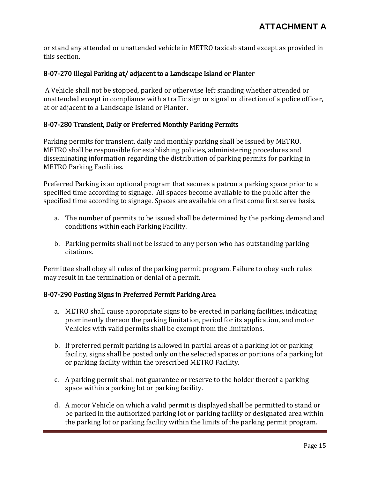or stand any attended or unattended vehicle in METRO taxicab stand except as provided in this section.

### 8-07-270 Illegal Parking at/ adjacent to a Landscape Island or Planter

A Vehicle shall not be stopped, parked or otherwise left standing whether attended or unattended except in compliance with a traffic sign or signal or direction of a police officer, at or adjacent to a Landscape Island or Planter.

#### 8-07-280 Transient, Daily or Preferred Monthly Parking Permits

Parking permits for transient, daily and monthly parking shall be issued by METRO. METRO shall be responsible for establishing policies, administering procedures and disseminating information regarding the distribution of parking permits for parking in METRO Parking Facilities.

Preferred Parking is an optional program that secures a patron a parking space prior to a specified time according to signage. All spaces become available to the public after the specified time according to signage. Spaces are available on a first come first serve basis.

- a. The number of permits to be issued shall be determined by the parking demand and conditions within each Parking Facility.
- b. Parking permits shall not be issued to any person who has outstanding parking citations.

Permittee shall obey all rules of the parking permit program. Failure to obey such rules may result in the termination or denial of a permit.

#### 8-07-290 Posting Signs in Preferred Permit Parking Area

- a. METRO shall cause appropriate signs to be erected in parking facilities, indicating prominently thereon the parking limitation, period for its application, and motor Vehicles with valid permits shall be exempt from the limitations.
- b. If preferred permit parking is allowed in partial areas of a parking lot or parking facility, signs shall be posted only on the selected spaces or portions of a parking lot or parking facility within the prescribed METRO Facility.
- c. A parking permit shall not guarantee or reserve to the holder thereof a parking space within a parking lot or parking facility.
- d. A motor Vehicle on which a valid permit is displayed shall be permitted to stand or be parked in the authorized parking lot or parking facility or designated area within the parking lot or parking facility within the limits of the parking permit program.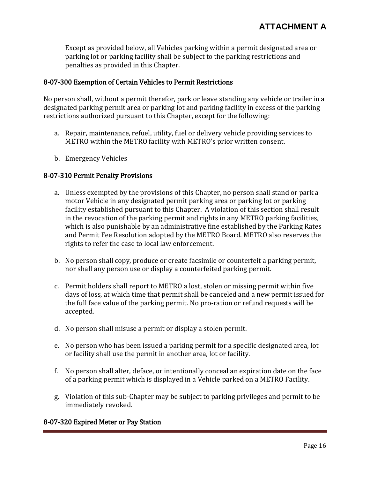Except as provided below, all Vehicles parking within a permit designated area or parking lot or parking facility shall be subject to the parking restrictions and penalties as provided in this Chapter.

#### 8-07-300 Exemption of Certain Vehicles to Permit Restrictions

No person shall, without a permit therefor, park or leave standing any vehicle or trailer in a designated parking permit area or parking lot and parking facility in excess of the parking restrictions authorized pursuant to this Chapter, except for the following:

- a. Repair, maintenance, refuel, utility, fuel or delivery vehicle providing services to METRO within the METRO facility with METRO's prior written consent.
- b. Emergency Vehicles

#### 8-07-310 Permit Penalty Provisions

- a. Unless exempted by the provisions of this Chapter, no person shall stand or park a motor Vehicle in any designated permit parking area or parking lot or parking facility established pursuant to this Chapter. A violation of this section shall result in the revocation of the parking permit and rights in any METRO parking facilities, which is also punishable by an administrative fine established by the Parking Rates and Permit Fee Resolution adopted by the METRO Board. METRO also reserves the rights to refer the case to local law enforcement.
- b. No person shall copy, produce or create facsimile or counterfeit a parking permit, nor shall any person use or display a counterfeited parking permit.
- c. Permit holders shall report to METRO a lost, stolen or missing permit within five days of loss, at which time that permit shall be canceled and a new permit issued for the full face value of the parking permit. No pro-ration or refund requests will be accepted.
- d. No person shall misuse a permit or display a stolen permit.
- e. No person who has been issued a parking permit for a specific designated area, lot or facility shall use the permit in another area, lot or facility.
- f. No person shall alter, deface, or intentionally conceal an expiration date on the face of a parking permit which is displayed in a Vehicle parked on a METRO Facility.
- g. Violation of this sub-Chapter may be subject to parking privileges and permit to be immediately revoked.

#### 8-07-320 Expired Meter or Pay Station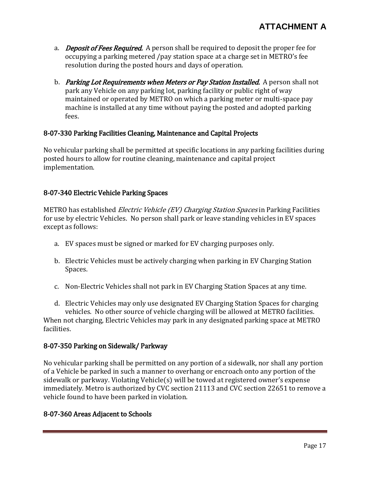- a. *Deposit of Fees Required.* A person shall be required to deposit the proper fee for occupying a parking metered /pay station space at a charge set in METRO's fee resolution during the posted hours and days of operation.
- b. Parking Lot Requirements when Meters or Pay Station Installed. A person shall not park any Vehicle on any parking lot, parking facility or public right of way maintained or operated by METRO on which a parking meter or multi-space pay machine is installed at any time without paying the posted and adopted parking fees.

#### 8-07-330 Parking Facilities Cleaning, Maintenance and Capital Projects

No vehicular parking shall be permitted at specific locations in any parking facilities during posted hours to allow for routine cleaning, maintenance and capital project implementation.

#### 8-07-340 Electric Vehicle Parking Spaces

METRO has established *Electric Vehicle (EV) Charging Station Spaces* in Parking Facilities for use by electric Vehicles. No person shall park or leave standing vehicles in EV spaces except as follows:

- a. EV spaces must be signed or marked for EV charging purposes only.
- b. Electric Vehicles must be actively charging when parking in EV Charging Station Spaces.
- c. Non-Electric Vehicles shall not park in EV Charging Station Spaces at any time.
- d. Electric Vehicles may only use designated EV Charging Station Spaces for charging vehicles. No other source of vehicle charging will be allowed at METRO facilities. When not charging, Electric Vehicles may park in any designated parking space at METRO facilities.

#### 8-07-350 Parking on Sidewalk/ Parkway

No vehicular parking shall be permitted on any portion of a sidewalk, nor shall any portion of a Vehicle be parked in such a manner to overhang or encroach onto any portion of the sidewalk or parkway. Violating Vehicle(s) will be towed at registered owner's expense immediately. Metro is authorized by CVC section 21113 and CVC section 22651 to remove a vehicle found to have been parked in violation.

#### 8-07-360 Areas Adjacent to Schools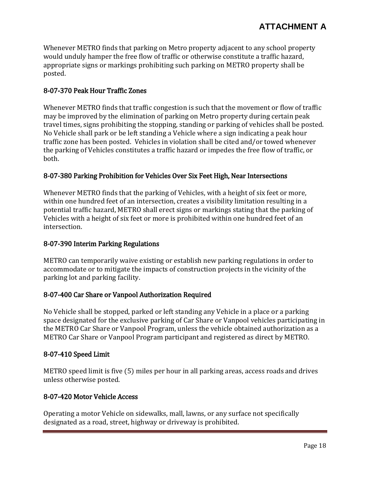Whenever METRO finds that parking on Metro property adjacent to any school property would unduly hamper the free flow of traffic or otherwise constitute a traffic hazard, appropriate signs or markings prohibiting such parking on METRO property shall be posted.

## 8-07-370 Peak Hour Traffic Zones

Whenever METRO finds that traffic congestion is such that the movement or flow of traffic may be improved by the elimination of parking on Metro property during certain peak travel times, signs prohibiting the stopping, standing or parking of vehicles shall be posted. No Vehicle shall park or be left standing a Vehicle where a sign indicating a peak hour traffic zone has been posted. Vehicles in violation shall be cited and/or towed whenever the parking of Vehicles constitutes a traffic hazard or impedes the free flow of traffic, or both.

#### 8-07-380 Parking Prohibition for Vehicles Over Six Feet High, Near Intersections

Whenever METRO finds that the parking of Vehicles, with a height of six feet or more, within one hundred feet of an intersection, creates a visibility limitation resulting in a potential traffic hazard, METRO shall erect signs or markings stating that the parking of Vehicles with a height of six feet or more is prohibited within one hundred feet of an intersection.

#### 8-07-390 Interim Parking Regulations

METRO can temporarily waive existing or establish new parking regulations in order to accommodate or to mitigate the impacts of construction projects in the vicinity of the parking lot and parking facility.

#### 8-07-400 Car Share or Vanpool Authorization Required

No Vehicle shall be stopped, parked or left standing any Vehicle in a place or a parking space designated for the exclusive parking of Car Share or Vanpool vehicles participating in the METRO Car Share or Vanpool Program, unless the vehicle obtained authorization as a METRO Car Share or Vanpool Program participant and registered as direct by METRO.

#### 8-07-410 Speed Limit

METRO speed limit is five (5) miles per hour in all parking areas, access roads and drives unless otherwise posted.

#### 8-07-420 Motor Vehicle Access

Operating a motor Vehicle on sidewalks, mall, lawns, or any surface not specifically designated as a road, street, highway or driveway is prohibited.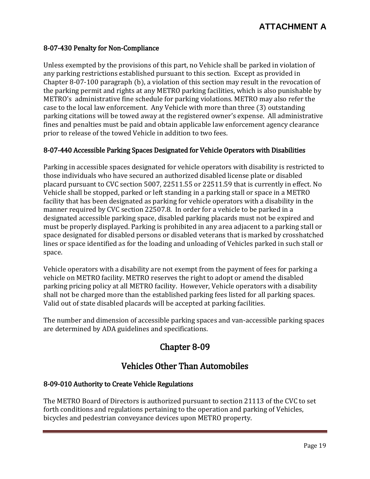#### 8-07-430 Penalty for Non-Compliance

Unless exempted by the provisions of this part, no Vehicle shall be parked in violation of any parking restrictions established pursuant to this section. Except as provided in Chapter 8-07-100 paragraph (b), a violation of this section may result in the revocation of the parking permit and rights at any METRO parking facilities, which is also punishable by METRO's administrative fine schedule for parking violations. METRO may also refer the case to the local law enforcement. Any Vehicle with more than three (3) outstanding parking citations will be towed away at the registered owner's expense. All administrative fines and penalties must be paid and obtain applicable law enforcement agency clearance prior to release of the towed Vehicle in addition to two fees.

#### 8-07-440 Accessible Parking Spaces Designated for Vehicle Operators with Disabilities

Parking in accessible spaces designated for vehicle operators with disability is restricted to those individuals who have secured an authorized disabled license plate or disabled placard pursuant to CVC section 5007, 22511.55 or 22511.59 that is currently in effect. No Vehicle shall be stopped, parked or left standing in a parking stall or space in a METRO facility that has been designated as parking for vehicle operators with a disability in the manner required by CVC section 22507.8. In order for a vehicle to be parked in a designated accessible parking space, disabled parking placards must not be expired and must be properly displayed. Parking is prohibited in any area adjacent to a parking stall or space designated for disabled persons or disabled veterans that is marked by crosshatched lines or space identified as for the loading and unloading of Vehicles parked in such stall or space.

Vehicle operators with a disability are not exempt from the payment of fees for parking a vehicle on METRO facility. METRO reserves the right to adopt or amend the disabled parking pricing policy at all METRO facility. However, Vehicle operators with a disability shall not be charged more than the established parking fees listed for all parking spaces. Valid out of state disabled placards will be accepted at parking facilities.

The number and dimension of accessible parking spaces and van-accessible parking spaces are determined by ADA guidelines and specifications.

# Chapter 8-09

## Vehicles Other Than Automobiles

#### 8-09-010 Authority to Create Vehicle Regulations

The METRO Board of Directors is authorized pursuant to section 21113 of the CVC to set forth conditions and regulations pertaining to the operation and parking of Vehicles, bicycles and pedestrian conveyance devices upon METRO property.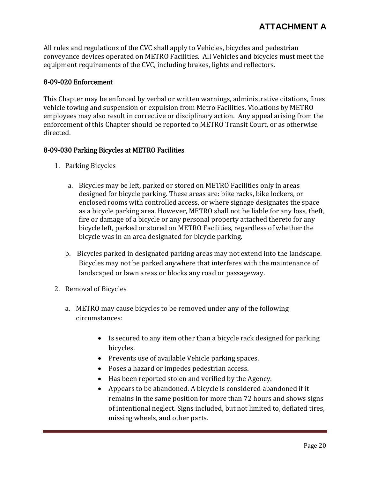All rules and regulations of the CVC shall apply to Vehicles, bicycles and pedestrian conveyance devices operated on METRO Facilities. All Vehicles and bicycles must meet the equipment requirements of the CVC, including brakes, lights and reflectors.

#### 8-09-020 Enforcement

This Chapter may be enforced by verbal or written warnings, administrative citations, fines vehicle towing and suspension or expulsion from Metro Facilities. Violations by METRO employees may also result in corrective or disciplinary action. Any appeal arising from the enforcement of this Chapter should be reported to METRO Transit Court, or as otherwise directed.

#### 8-09-030 Parking Bicycles at METRO Facilities

- 1. Parking Bicycles
	- a. Bicycles may be left, parked or stored on METRO Facilities only in areas designed for bicycle parking. These areas are: bike racks, bike lockers, or enclosed rooms with controlled access, or where signage designates the space as a bicycle parking area. However, METRO shall not be liable for any loss, theft, fire or damage of a bicycle or any personal property attached thereto for any bicycle left, parked or stored on METRO Facilities, regardless of whether the bicycle was in an area designated for bicycle parking.
	- b. Bicycles parked in designated parking areas may not extend into the landscape. Bicycles may not be parked anywhere that interferes with the maintenance of landscaped or lawn areas or blocks any road or passageway.
- 2. Removal of Bicycles
	- a. METRO may cause bicycles to be removed under any of the following circumstances:
		- Is secured to any item other than a bicycle rack designed for parking bicycles.
		- Prevents use of available Vehicle parking spaces.
		- Poses a hazard or impedes pedestrian access.
		- Has been reported stolen and verified by the Agency.
		- Appears to be abandoned. A bicycle is considered abandoned if it remains in the same position for more than 72 hours and shows signs of intentional neglect. Signs included, but not limited to, deflated tires, missing wheels, and other parts.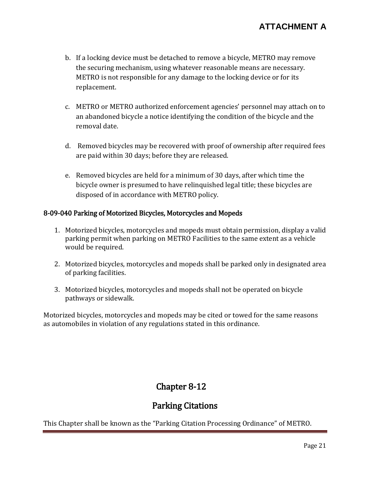- b. If a locking device must be detached to remove a bicycle, METRO may remove the securing mechanism, using whatever reasonable means are necessary. METRO is not responsible for any damage to the locking device or for its replacement.
- c. METRO or METRO authorized enforcement agencies' personnel may attach on to an abandoned bicycle a notice identifying the condition of the bicycle and the removal date.
- d. Removed bicycles may be recovered with proof of ownership after required fees are paid within 30 days; before they are released.
- e. Removed bicycles are held for a minimum of 30 days, after which time the bicycle owner is presumed to have relinquished legal title; these bicycles are disposed of in accordance with METRO policy.

#### 8-09-040 Parking of Motorized Bicycles, Motorcycles and Mopeds

- 1. Motorized bicycles, motorcycles and mopeds must obtain permission, display a valid parking permit when parking on METRO Facilities to the same extent as a vehicle would be required.
- 2. Motorized bicycles, motorcycles and mopeds shall be parked only in designated area of parking facilities.
- 3. Motorized bicycles, motorcycles and mopeds shall not be operated on bicycle pathways or sidewalk.

Motorized bicycles, motorcycles and mopeds may be cited or towed for the same reasons as automobiles in violation of any regulations stated in this ordinance.

# Chapter 8-12

## Parking Citations

This Chapter shall be known as the "Parking Citation Processing Ordinance" of METRO.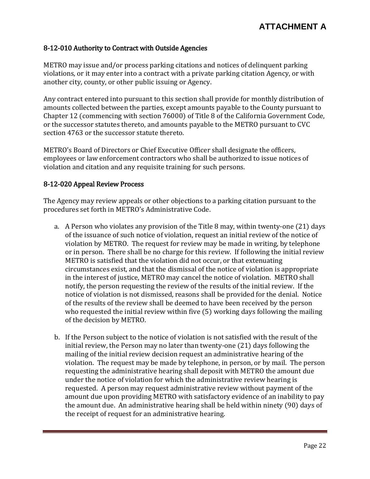#### 8-12-010 Authority to Contract with Outside Agencies

METRO may issue and/or process parking citations and notices of delinquent parking violations, or it may enter into a contract with a private parking citation Agency, or with another city, county, or other public issuing or Agency.

Any contract entered into pursuant to this section shall provide for monthly distribution of amounts collected between the parties, except amounts payable to the County pursuant to Chapter 12 (commencing with section 76000) of Title 8 of the California Government Code, or the successor statutes thereto, and amounts payable to the METRO pursuant to CVC section 4763 or the successor statute thereto.

METRO's Board of Directors or Chief Executive Officer shall designate the officers, employees or law enforcement contractors who shall be authorized to issue notices of violation and citation and any requisite training for such persons.

#### 8-12-020 Appeal Review Process

The Agency may review appeals or other objections to a parking citation pursuant to the procedures set forth in METRO's Administrative Code.

- a. A Person who violates any provision of the Title 8 may, within twenty-one (21) days of the issuance of such notice of violation, request an initial review of the notice of violation by METRO. The request for review may be made in writing, by telephone or in person. There shall be no charge for this review. If following the initial review METRO is satisfied that the violation did not occur, or that extenuating circumstances exist, and that the dismissal of the notice of violation is appropriate in the interest of justice, METRO may cancel the notice of violation. METRO shall notify, the person requesting the review of the results of the initial review. If the notice of violation is not dismissed, reasons shall be provided for the denial. Notice of the results of the review shall be deemed to have been received by the person who requested the initial review within five (5) working days following the mailing of the decision by METRO.
- b. If the Person subject to the notice of violation is not satisfied with the result of the initial review, the Person may no later than twenty-one (21) days following the mailing of the initial review decision request an administrative hearing of the violation. The request may be made by telephone, in person, or by mail. The person requesting the administrative hearing shall deposit with METRO the amount due under the notice of violation for which the administrative review hearing is requested. A person may request administrative review without payment of the amount due upon providing METRO with satisfactory evidence of an inability to pay the amount due. An administrative hearing shall be held within ninety (90) days of the receipt of request for an administrative hearing.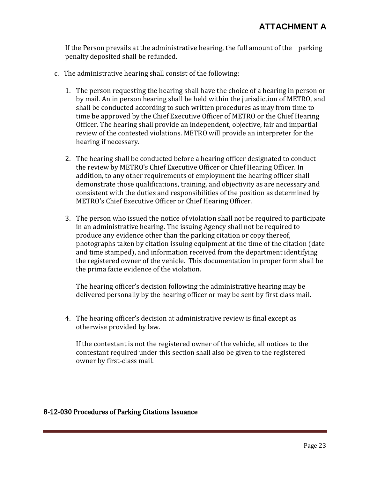If the Person prevails at the administrative hearing, the full amount of the parking penalty deposited shall be refunded.

- c. The administrative hearing shall consist of the following:
	- 1. The person requesting the hearing shall have the choice of a hearing in person or by mail. An in person hearing shall be held within the jurisdiction of METRO, and shall be conducted according to such written procedures as may from time to time be approved by the Chief Executive Officer of METRO or the Chief Hearing Officer. The hearing shall provide an independent, objective, fair and impartial review of the contested violations. METRO will provide an interpreter for the hearing if necessary.
	- 2. The hearing shall be conducted before a hearing officer designated to conduct the review by METRO's Chief Executive Officer or Chief Hearing Officer. In addition, to any other requirements of employment the hearing officer shall demonstrate those qualifications, training, and objectivity as are necessary and consistent with the duties and responsibilities of the position as determined by METRO's Chief Executive Officer or Chief Hearing Officer.
	- 3. The person who issued the notice of violation shall not be required to participate in an administrative hearing. The issuing Agency shall not be required to produce any evidence other than the parking citation or copy thereof, photographs taken by citation issuing equipment at the time of the citation (date and time stamped), and information received from the department identifying the registered owner of the vehicle. This documentation in proper form shall be the prima facie evidence of the violation.

The hearing officer's decision following the administrative hearing may be delivered personally by the hearing officer or may be sent by first class mail.

4. The hearing officer's decision at administrative review is final except as otherwise provided by law.

If the contestant is not the registered owner of the vehicle, all notices to the contestant required under this section shall also be given to the registered owner by first-class mail.

#### 8-12-030 Procedures of Parking Citations Issuance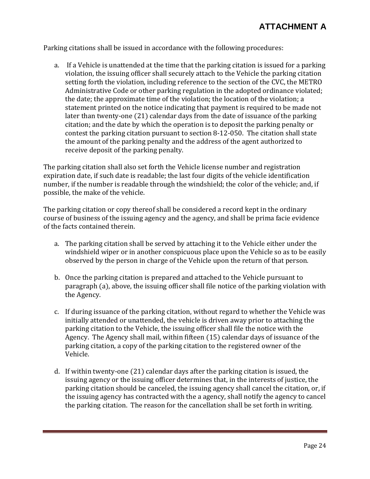Parking citations shall be issued in accordance with the following procedures:

a. If a Vehicle is unattended at the time that the parking citation is issued for a parking violation, the issuing officer shall securely attach to the Vehicle the parking citation setting forth the violation, including reference to the section of the CVC, the METRO Administrative Code or other parking regulation in the adopted ordinance violated; the date; the approximate time of the violation; the location of the violation; a statement printed on the notice indicating that payment is required to be made not later than twenty-one (21) calendar days from the date of issuance of the parking citation; and the date by which the operation is to deposit the parking penalty or contest the parking citation pursuant to section 8-12-050. The citation shall state the amount of the parking penalty and the address of the agent authorized to receive deposit of the parking penalty.

The parking citation shall also set forth the Vehicle license number and registration expiration date, if such date is readable; the last four digits of the vehicle identification number, if the number is readable through the windshield; the color of the vehicle; and, if possible, the make of the vehicle.

The parking citation or copy thereof shall be considered a record kept in the ordinary course of business of the issuing agency and the agency, and shall be prima facie evidence of the facts contained therein.

- a. The parking citation shall be served by attaching it to the Vehicle either under the windshield wiper or in another conspicuous place upon the Vehicle so as to be easily observed by the person in charge of the Vehicle upon the return of that person.
- b. Once the parking citation is prepared and attached to the Vehicle pursuant to paragraph (a), above, the issuing officer shall file notice of the parking violation with the Agency.
- c. If during issuance of the parking citation, without regard to whether the Vehicle was initially attended or unattended, the vehicle is driven away prior to attaching the parking citation to the Vehicle, the issuing officer shall file the notice with the Agency. The Agency shall mail, within fifteen (15) calendar days of issuance of the parking citation, a copy of the parking citation to the registered owner of the Vehicle.
- d. If within twenty-one (21) calendar days after the parking citation is issued, the issuing agency or the issuing officer determines that, in the interests of justice, the parking citation should be canceled, the issuing agency shall cancel the citation, or, if the issuing agency has contracted with the a agency, shall notify the agency to cancel the parking citation. The reason for the cancellation shall be set forth in writing.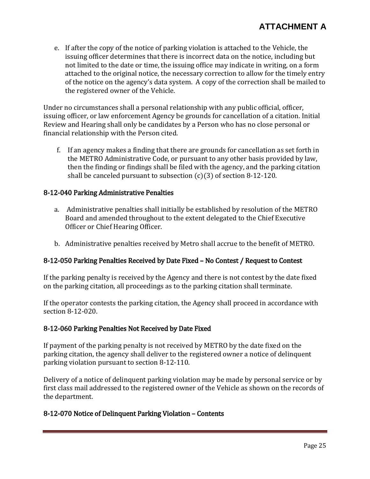e. If after the copy of the notice of parking violation is attached to the Vehicle, the issuing officer determines that there is incorrect data on the notice, including but not limited to the date or time, the issuing office may indicate in writing, on a form attached to the original notice, the necessary correction to allow for the timely entry of the notice on the agency's data system. A copy of the correction shall be mailed to the registered owner of the Vehicle.

Under no circumstances shall a personal relationship with any public official, officer, issuing officer, or law enforcement Agency be grounds for cancellation of a citation. Initial Review and Hearing shall only be candidates by a Person who has no close personal or financial relationship with the Person cited.

f. If an agency makes a finding that there are grounds for cancellation as set forth in the METRO Administrative Code, or pursuant to any other basis provided by law, then the finding or findings shall be filed with the agency, and the parking citation shall be canceled pursuant to subsection  $(c)(3)$  of section 8-12-120.

#### 8-12-040 Parking Administrative Penalties

- a. Administrative penalties shall initially be established by resolution of the METRO Board and amended throughout to the extent delegated to the Chief Executive Officer or Chief Hearing Officer.
- b. Administrative penalties received by Metro shall accrue to the benefit of METRO.

## 8-12-050 Parking Penalties Received by Date Fixed – No Contest / Request to Contest

If the parking penalty is received by the Agency and there is not contest by the date fixed on the parking citation, all proceedings as to the parking citation shall terminate.

If the operator contests the parking citation, the Agency shall proceed in accordance with section 8-12-020.

#### 8-12-060 Parking Penalties Not Received by Date Fixed

If payment of the parking penalty is not received by METRO by the date fixed on the parking citation, the agency shall deliver to the registered owner a notice of delinquent parking violation pursuant to section 8-12-110.

Delivery of a notice of delinquent parking violation may be made by personal service or by first class mail addressed to the registered owner of the Vehicle as shown on the records of the department.

#### 8-12-070 Notice of Delinquent Parking Violation – Contents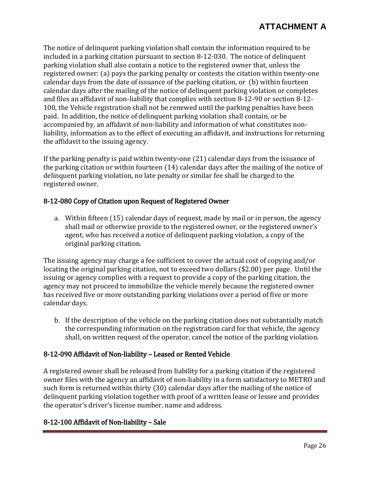The notice of delinquent parking violation shall contain the information required to be included in a parking citation pursuant to section 8-12-030. The notice of delinquent parking violation shall also contain a notice to the registered owner that, unless the registered owner: (a) pays the parking penalty or contests the citation within twenty-one calendar days from the date of issuance of the parking citation, or (b) within fourteen calendar days after the mailing of the notice of delinquent parking violation or completes and files an affidavit of non-liability that complies with section 8-12-90 or section 8-12- 100, the Vehicle registration shall not be renewed until the parking penalties have been paid. In addition, the notice of delinquent parking violation shall contain, or be accompanied by, an affidavit of non-liability and information of what constitutes nonliability, information as to the effect of executing an affidavit, and instructions for returning the affidavit to the issuing agency.

If the parking penalty is paid within twenty-one (21) calendar days from the issuance of the parking citation or within fourteen (14) calendar days after the mailing of the notice of delinquent parking violation, no late penalty or similar fee shall be charged to the registered owner.

#### 8-12-080 Copy of Citation upon Request of Registered Owner

a. Within fifteen (15) calendar days of request, made by mail or in person, the agency shall mail or otherwise provide to the registered owner, or the registered owner's agent, who has received a notice of delinquent parking violation, a copy of the original parking citation.

The issuing agency may charge a fee sufficient to cover the actual cost of copying and/or locating the original parking citation, not to exceed two dollars (\$2.00) per page. Until the issuing or agency complies with a request to provide a copy of the parking citation, the agency may not proceed to immobilize the vehicle merely because the registered owner has received five or more outstanding parking violations over a period of five or more calendar days.

b. If the description of the vehicle on the parking citation does not substantially match the corresponding information on the registration card for that vehicle, the agency shall, on written request of the operator, cancel the notice of the parking violation.

## 8-12-090 Affidavit of Non-liability – Leased or Rented Vehicle

A registered owner shall be released from liability for a parking citation if the registered owner files with the agency an affidavit of non-liability in a form satisfactory to METRO and such form is returned within thirty (30) calendar days after the mailing of the notice of delinquent parking violation together with proof of a written lease or lessee and provides the operator's driver's license number, name and address.

## 8-12-100 Affidavit of Non-liability – Sale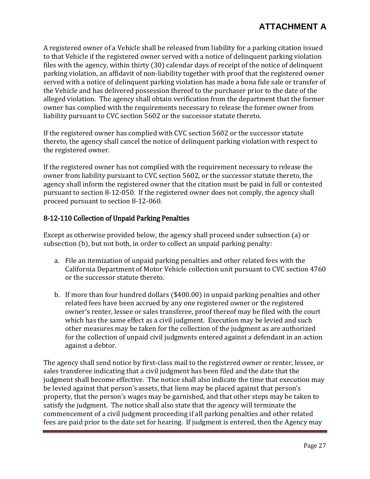# **ATTACHMENT A**

A registered owner of a Vehicle shall be released from liability for a parking citation issued to that Vehicle if the registered owner served with a notice of delinquent parking violation files with the agency, within thirty (30) calendar days of receipt of the notice of delinquent parking violation, an affidavit of non-liability together with proof that the registered owner served with a notice of delinquent parking violation has made a bona fide sale or transfer of the Vehicle and has delivered possession thereof to the purchaser prior to the date of the alleged violation. The agency shall obtain verification from the department that the former owner has complied with the requirements necessary to release the former owner from liability pursuant to CVC section 5602 or the successor statute thereto.

If the registered owner has complied with CVC section 5602 or the successor statute thereto, the agency shall cancel the notice of delinquent parking violation with respect to the registered owner.

If the registered owner has not complied with the requirement necessary to release the owner from liability pursuant to CVC section 5602, or the successor statute thereto, the agency shall inform the registered owner that the citation must be paid in full or contested pursuant to section 8-12-050. If the registered owner does not comply, the agency shall proceed pursuant to section 8-12-060.

## 8-12-110 Collection of Unpaid Parking Penalties

Except as otherwise provided below, the agency shall proceed under subsection (a) or subsection (b), but not both, in order to collect an unpaid parking penalty:

- a. File an itemization of unpaid parking penalties and other related fees with the California Department of Motor Vehicle collection unit pursuant to CVC section 4760 or the successor statute thereto.
- b. If more than four hundred dollars (\$400.00) in unpaid parking penalties and other related fees have been accrued by any one registered owner or the registered owner's renter, lessee or sales transferee, proof thereof may be filed with the court which has the same effect as a civil judgment. Execution may be levied and such other measures may be taken for the collection of the judgment as are authorized for the collection of unpaid civil judgments entered against a defendant in an action against a debtor.

The agency shall send notice by first-class mail to the registered owner or renter, lessee, or sales transferee indicating that a civil judgment has been filed and the date that the judgment shall become effective. The notice shall also indicate the time that execution may be levied against that person's assets, that liens may be placed against that person's property, that the person's wages may be garnished, and that other steps may be taken to satisfy the judgment. The notice shall also state that the agency will terminate the commencement of a civil judgment proceeding if all parking penalties and other related fees are paid prior to the date set for hearing. If judgment is entered, then the Agency may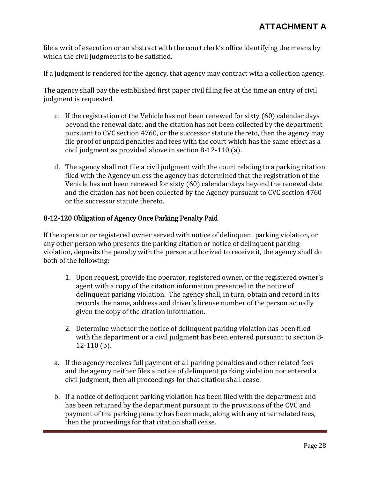file a writ of execution or an abstract with the court clerk's office identifying the means by which the civil judgment is to be satisfied.

If a judgment is rendered for the agency, that agency may contract with a collection agency.

The agency shall pay the established first paper civil filing fee at the time an entry of civil judgment is requested.

- c. If the registration of the Vehicle has not been renewed for sixty (60) calendar days beyond the renewal date, and the citation has not been collected by the department pursuant to CVC section 4760, or the successor statute thereto, then the agency may file proof of unpaid penalties and fees with the court which has the same effect as a civil judgment as provided above in section 8-12-110 (a).
- d. The agency shall not file a civil judgment with the court relating to a parking citation filed with the Agency unless the agency has determined that the registration of the Vehicle has not been renewed for sixty (60) calendar days beyond the renewal date and the citation has not been collected by the Agency pursuant to CVC section 4760 or the successor statute thereto.

## 8-12-120 Obligation of Agency Once Parking Penalty Paid

If the operator or registered owner served with notice of delinquent parking violation, or any other person who presents the parking citation or notice of delinquent parking violation, deposits the penalty with the person authorized to receive it, the agency shall do both of the following:

- 1. Upon request, provide the operator, registered owner, or the registered owner's agent with a copy of the citation information presented in the notice of delinquent parking violation. The agency shall, in turn, obtain and record in its records the name, address and driver's license number of the person actually given the copy of the citation information.
- 2. Determine whether the notice of delinquent parking violation has been filed with the department or a civil judgment has been entered pursuant to section 8- 12-110 (b).
- a. If the agency receives full payment of all parking penalties and other related fees and the agency neither files a notice of delinquent parking violation nor entered a civil judgment, then all proceedings for that citation shall cease.
- b. If a notice of delinquent parking violation has been filed with the department and has been returned by the department pursuant to the provisions of the CVC and payment of the parking penalty has been made, along with any other related fees, then the proceedings for that citation shall cease.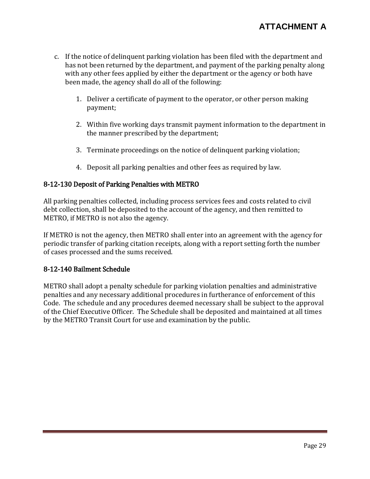## **ATTACHMENT A**

- c. If the notice of delinquent parking violation has been filed with the department and has not been returned by the department, and payment of the parking penalty along with any other fees applied by either the department or the agency or both have been made, the agency shall do all of the following:
	- 1. Deliver a certificate of payment to the operator, or other person making payment;
	- 2. Within five working days transmit payment information to the department in the manner prescribed by the department;
	- 3. Terminate proceedings on the notice of delinquent parking violation;
	- 4. Deposit all parking penalties and other fees as required by law.

#### 8-12-130 Deposit of Parking Penalties with METRO

All parking penalties collected, including process services fees and costs related to civil debt collection, shall be deposited to the account of the agency, and then remitted to METRO, if METRO is not also the agency.

If METRO is not the agency, then METRO shall enter into an agreement with the agency for periodic transfer of parking citation receipts, along with a report setting forth the number of cases processed and the sums received.

#### 8-12-140 Bailment Schedule

METRO shall adopt a penalty schedule for parking violation penalties and administrative penalties and any necessary additional procedures in furtherance of enforcement of this Code. The schedule and any procedures deemed necessary shall be subject to the approval of the Chief Executive Officer. The Schedule shall be deposited and maintained at all times by the METRO Transit Court for use and examination by the public.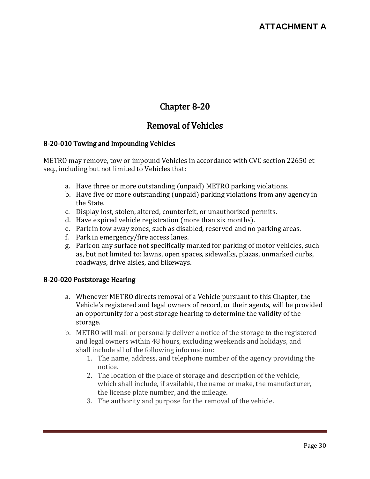# Chapter 8-20

# Removal of Vehicles

#### 8-20-010 Towing and Impounding Vehicles

METRO may remove, tow or impound Vehicles in accordance with CVC section 22650 et seq., including but not limited to Vehicles that:

- a. Have three or more outstanding (unpaid) METRO parking violations.
- b. Have five or more outstanding (unpaid) parking violations from any agency in the State.
- c. Display lost, stolen, altered, counterfeit, or unauthorized permits.
- d. Have expired vehicle registration (more than six months).
- e. Park in tow away zones, such as disabled, reserved and no parking areas.
- f. Park in emergency/fire access lanes.
- g. Park on any surface not specifically marked for parking of motor vehicles, such as, but not limited to: lawns, open spaces, sidewalks, plazas, unmarked curbs, roadways, drive aisles, and bikeways.

## 8-20-020 Poststorage Hearing

- a. Whenever METRO directs removal of a Vehicle pursuant to this Chapter, the Vehicle's registered and legal owners of record, or their agents, will be provided an opportunity for a post storage hearing to determine the validity of the storage.
- b. METRO will mail or personally deliver a notice of the storage to the registered and legal owners within 48 hours, excluding weekends and holidays, and shall include all of the following information:
	- 1. The name, address, and telephone number of the agency providing the notice.
	- 2. The location of the place of storage and description of the vehicle, which shall include, if available, the name or make, the manufacturer, the license plate number, and the mileage.
	- 3. The authority and purpose for the removal of the vehicle.